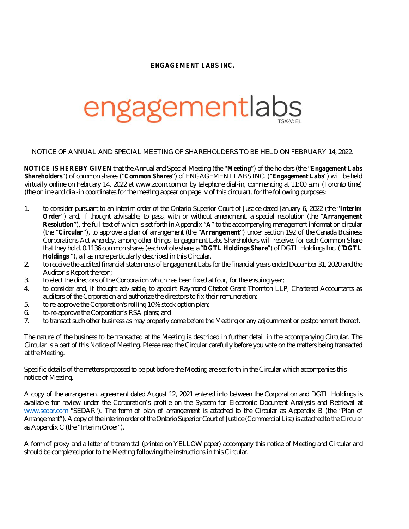## **ENGAGEMENT LABS INC.**

## engagementlabs

NOTICE OF ANNUAL AND SPECIAL MEETING OF SHAREHOLDERS TO BE HELD ON FEBRUARY 14, 2022.

**NOTICE IS HEREBY GIVEN** that the Annual and Special Meeting (the "**Meeting**") of the holders (the "**Engagement Labs Shareholders**") of common shares ("**Common Shares**") of ENGAGEMENT LABS INC. ("**Engagement Labs**") will be held virtually online on February 14, 2022 at [www.zoom.com](http://www.zoom.com) or by telephone dial-in, commencing at 11:00 a.m. (Toronto time) (the online and dial-in coordinates for the meeting appear on page iv of this circular), for the following purposes:

- 1. to consider pursuant to an interim order of the Ontario Superior Court of Justice dated January 6, 2022 (the "**Interim Order**") and, if thought advisable, to pass, with or without amendment, a special resolution (the "**Arrangement Resolution**"), the full text of which is set forth in Appendix "**A**" to the accompanying management information circular (the "**Circular**"), to approve a plan of arrangement (the "**Arrangement**") under section 192 of the Canada Business Corporations Act whereby, among other things, Engagement Labs Shareholders will receive, for each Common Share that they hold, 0.1136 common shares (each whole share, a "**DGTL Holdings Share**") of DGTL Holdings Inc. ("**DGTL Holdings** "), all as more particularly described in this Circular.
- 2. to receive the audited financial statements of Engagement Labs for the financial years ended December 31, 2020 and the Auditor's Report thereon;
- 3. to elect the directors of the Corporation which has been fixed at four, for the ensuing year;
- 4. to consider and, if thought advisable, to appoint Raymond Chabot Grant Thornton LLP, Chartered Accountants as auditors of the Corporation and authorize the directors to fix their remuneration;
- 5. to re-approve the Corporation's rolling 10% stock option plan;
- 6. to-re-approve the Corporation's RSA plans; and
- 7. to transact such other business as may properly come before the Meeting or any adjournment or postponement thereof.

The nature of the business to be transacted at the Meeting is described in further detail in the accompanying Circular. The Circular is a part of this Notice of Meeting. Please read the Circular carefully before you vote on the matters being transacted at the Meeting.

Specific details of the matters proposed to be put before the Meeting are set forth in the Circular which accompanies this notice of Meeting.

A copy of the arrangement agreement dated August 12, 2021 entered into between the Corporation and DGTL Holdings is available for review under the Corporation's profile on the System for Electronic Document Analysis and Retrieval at [www.sedar.com](http://www.sedar.com) "SEDAR"). The form of plan of arrangement is attached to the Circular as Appendix B (the "Plan of Arrangement"). A copy of the interim order of the Ontario Superior Court of Justice (Commercial List) is attached to the Circular as Appendix C (the "Interim Order").

A form of proxy and a letter of transmittal (printed on YELLOW paper) accompany this notice of Meeting and Circular and should be completed prior to the Meeting following the instructions in this Circular.